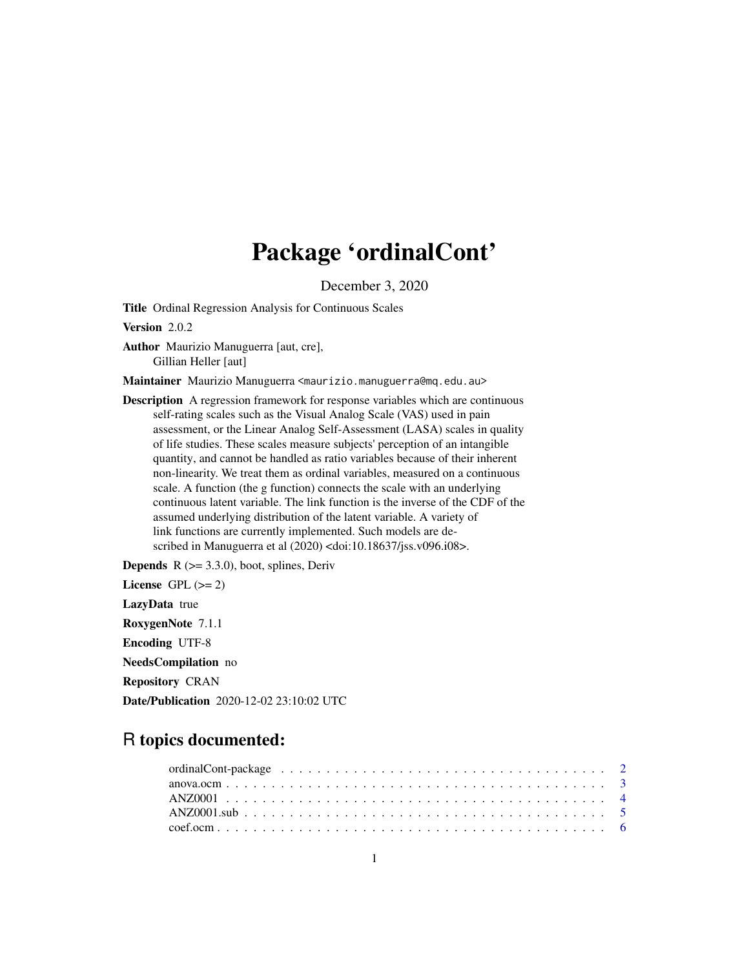# Package 'ordinalCont'

December 3, 2020

<span id="page-0-0"></span>Title Ordinal Regression Analysis for Continuous Scales

Version 2.0.2

Author Maurizio Manuguerra [aut, cre], Gillian Heller [aut]

Maintainer Maurizio Manuguerra <maurizio.manuguerra@mq.edu.au>

Description A regression framework for response variables which are continuous self-rating scales such as the Visual Analog Scale (VAS) used in pain assessment, or the Linear Analog Self-Assessment (LASA) scales in quality of life studies. These scales measure subjects' perception of an intangible quantity, and cannot be handled as ratio variables because of their inherent non-linearity. We treat them as ordinal variables, measured on a continuous scale. A function (the g function) connects the scale with an underlying continuous latent variable. The link function is the inverse of the CDF of the assumed underlying distribution of the latent variable. A variety of link functions are currently implemented. Such models are described in Manuguerra et al (2020) <doi:10.18637/jss.v096.i08>.

**Depends**  $R$  ( $>= 3.3.0$ ), boot, splines, Deriv License GPL  $(>= 2)$ LazyData true RoxygenNote 7.1.1 Encoding UTF-8 NeedsCompilation no Repository CRAN Date/Publication 2020-12-02 23:10:02 UTC

# R topics documented: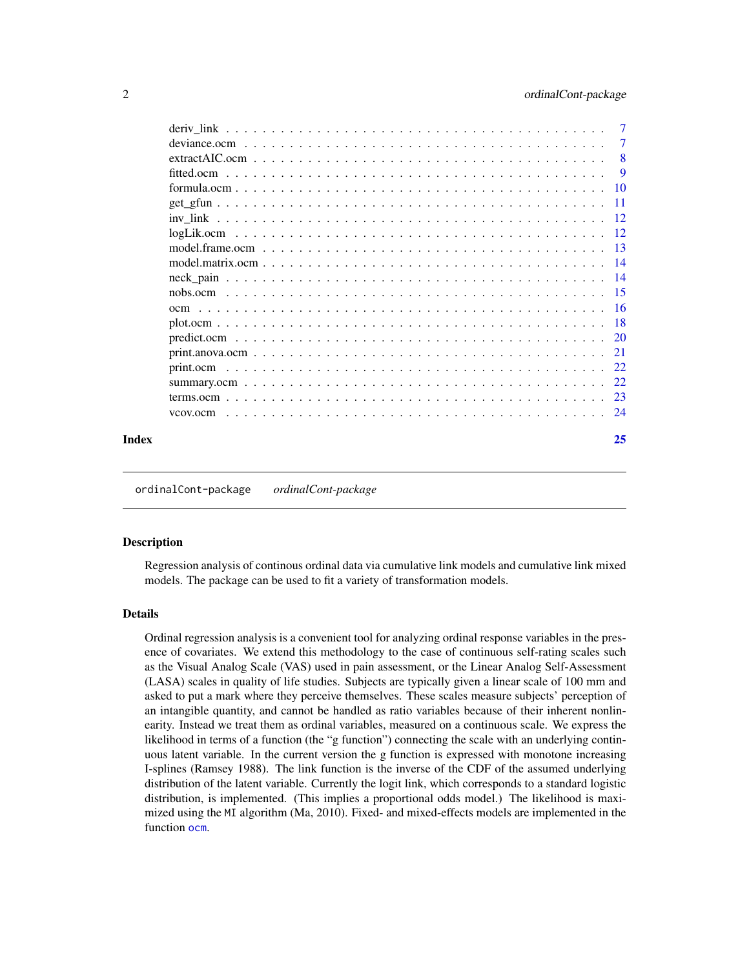<span id="page-1-0"></span>

| Index |          | 25             |
|-------|----------|----------------|
|       | vcov.ocm |                |
|       |          |                |
|       |          |                |
|       |          |                |
|       |          |                |
|       |          |                |
|       |          |                |
|       |          |                |
|       |          |                |
|       |          |                |
|       |          |                |
|       |          |                |
|       |          |                |
|       |          |                |
|       |          |                |
|       |          |                |
|       |          | <b>9</b>       |
|       |          | - 8            |
|       |          | $\overline{7}$ |
|       |          | $\overline{7}$ |

ordinalCont-package *ordinalCont-package*

#### Description

Regression analysis of continous ordinal data via cumulative link models and cumulative link mixed models. The package can be used to fit a variety of transformation models.

#### Details

Ordinal regression analysis is a convenient tool for analyzing ordinal response variables in the presence of covariates. We extend this methodology to the case of continuous self-rating scales such as the Visual Analog Scale (VAS) used in pain assessment, or the Linear Analog Self-Assessment (LASA) scales in quality of life studies. Subjects are typically given a linear scale of 100 mm and asked to put a mark where they perceive themselves. These scales measure subjects' perception of an intangible quantity, and cannot be handled as ratio variables because of their inherent nonlinearity. Instead we treat them as ordinal variables, measured on a continuous scale. We express the likelihood in terms of a function (the "g function") connecting the scale with an underlying continuous latent variable. In the current version the g function is expressed with monotone increasing I-splines (Ramsey 1988). The link function is the inverse of the CDF of the assumed underlying distribution of the latent variable. Currently the logit link, which corresponds to a standard logistic distribution, is implemented. (This implies a proportional odds model.) The likelihood is maximized using the MI algorithm (Ma, 2010). Fixed- and mixed-effects models are implemented in the function [ocm](#page-15-1).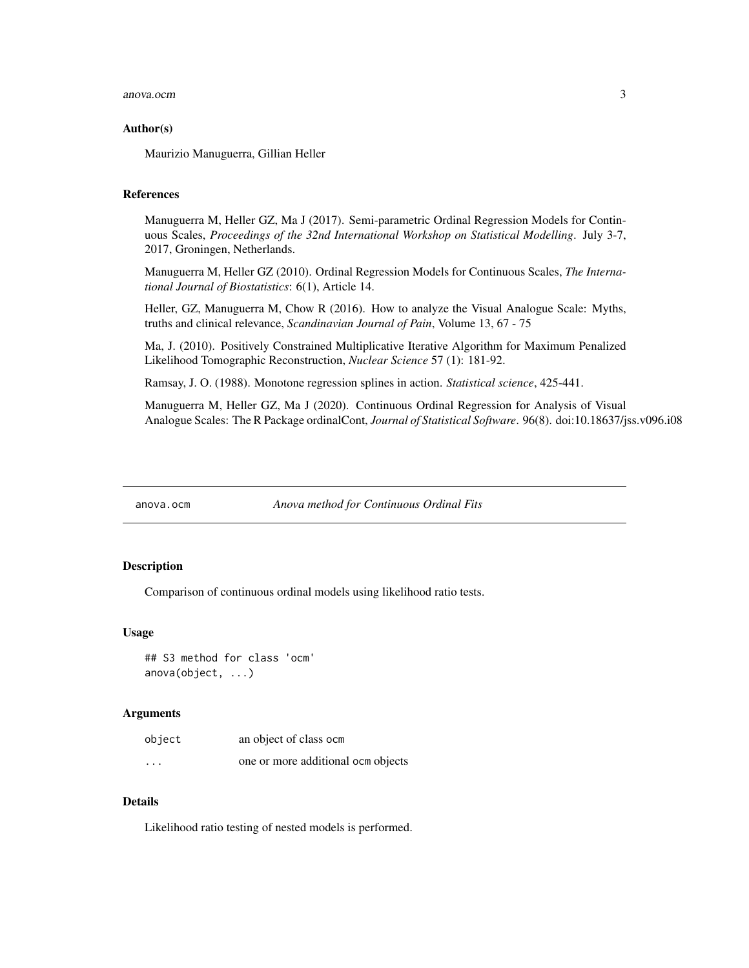#### <span id="page-2-0"></span>anova.ocm 3

#### Author(s)

Maurizio Manuguerra, Gillian Heller

# References

Manuguerra M, Heller GZ, Ma J (2017). Semi-parametric Ordinal Regression Models for Continuous Scales, *Proceedings of the 32nd International Workshop on Statistical Modelling*. July 3-7, 2017, Groningen, Netherlands.

Manuguerra M, Heller GZ (2010). Ordinal Regression Models for Continuous Scales, *The International Journal of Biostatistics*: 6(1), Article 14.

Heller, GZ, Manuguerra M, Chow R (2016). How to analyze the Visual Analogue Scale: Myths, truths and clinical relevance, *Scandinavian Journal of Pain*, Volume 13, 67 - 75

Ma, J. (2010). Positively Constrained Multiplicative Iterative Algorithm for Maximum Penalized Likelihood Tomographic Reconstruction, *Nuclear Science* 57 (1): 181-92.

Ramsay, J. O. (1988). Monotone regression splines in action. *Statistical science*, 425-441.

Manuguerra M, Heller GZ, Ma J (2020). Continuous Ordinal Regression for Analysis of Visual Analogue Scales: The R Package ordinalCont, *Journal of Statistical Software*. 96(8). doi:10.18637/jss.v096.i08

<span id="page-2-1"></span>anova.ocm *Anova method for Continuous Ordinal Fits*

#### Description

Comparison of continuous ordinal models using likelihood ratio tests.

#### Usage

## S3 method for class 'ocm' anova(object, ...)

#### Arguments

| object                  | an object of class ocm             |
|-------------------------|------------------------------------|
| $\cdot$ $\cdot$ $\cdot$ | one or more additional ocm objects |

# Details

Likelihood ratio testing of nested models is performed.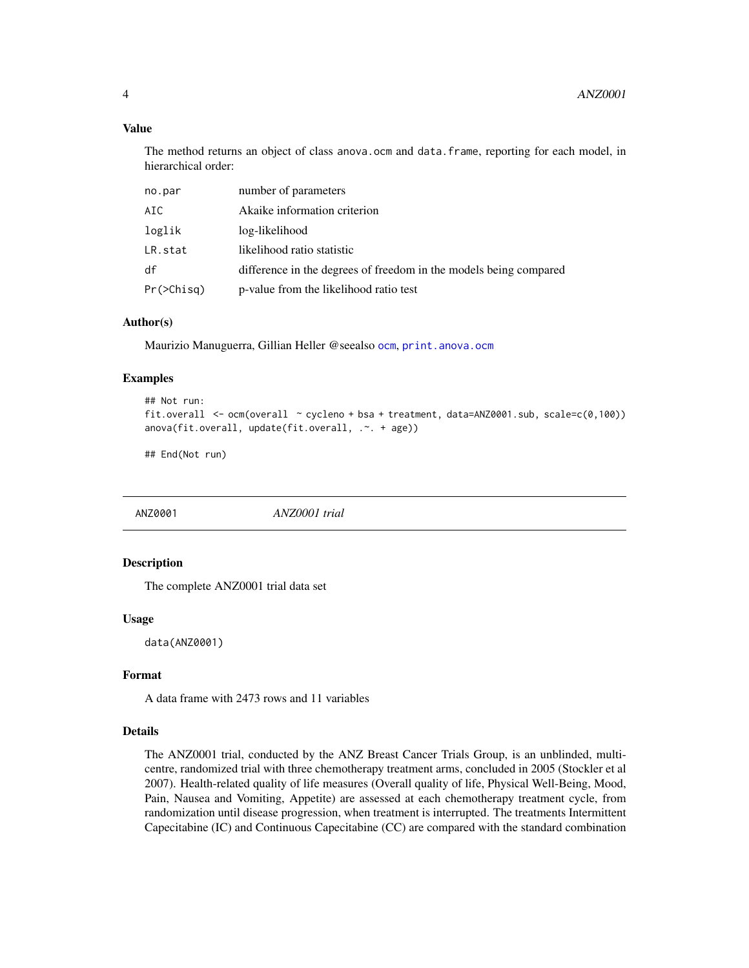# Value

The method returns an object of class anova.ocm and data.frame, reporting for each model, in hierarchical order:

| no.par           | number of parameters                                              |
|------------------|-------------------------------------------------------------------|
| AIC.             | Akaike information criterion                                      |
| loglik           | log-likelihood                                                    |
| LR.stat          | likelihood ratio statistic                                        |
| df               | difference in the degrees of freedom in the models being compared |
| $Pr(\geq Chisq)$ | p-value from the likelihood ratio test                            |

# Author(s)

Maurizio Manuguerra, Gillian Heller @seealso [ocm](#page-15-1), [print.anova.ocm](#page-20-1)

#### Examples

```
## Not run:
fit.overall <- ocm(overall \sim cycleno + bsa + treatment, data=ANZ0001.sub, scale=c(0,100))
anova(fit.overall, update(fit.overall, .~. + age))
```
## End(Not run)

ANZ0001 *ANZ0001 trial*

# Description

The complete ANZ0001 trial data set

#### Usage

data(ANZ0001)

# Format

A data frame with 2473 rows and 11 variables

#### Details

The ANZ0001 trial, conducted by the ANZ Breast Cancer Trials Group, is an unblinded, multicentre, randomized trial with three chemotherapy treatment arms, concluded in 2005 (Stockler et al 2007). Health-related quality of life measures (Overall quality of life, Physical Well-Being, Mood, Pain, Nausea and Vomiting, Appetite) are assessed at each chemotherapy treatment cycle, from randomization until disease progression, when treatment is interrupted. The treatments Intermittent Capecitabine (IC) and Continuous Capecitabine (CC) are compared with the standard combination

<span id="page-3-0"></span>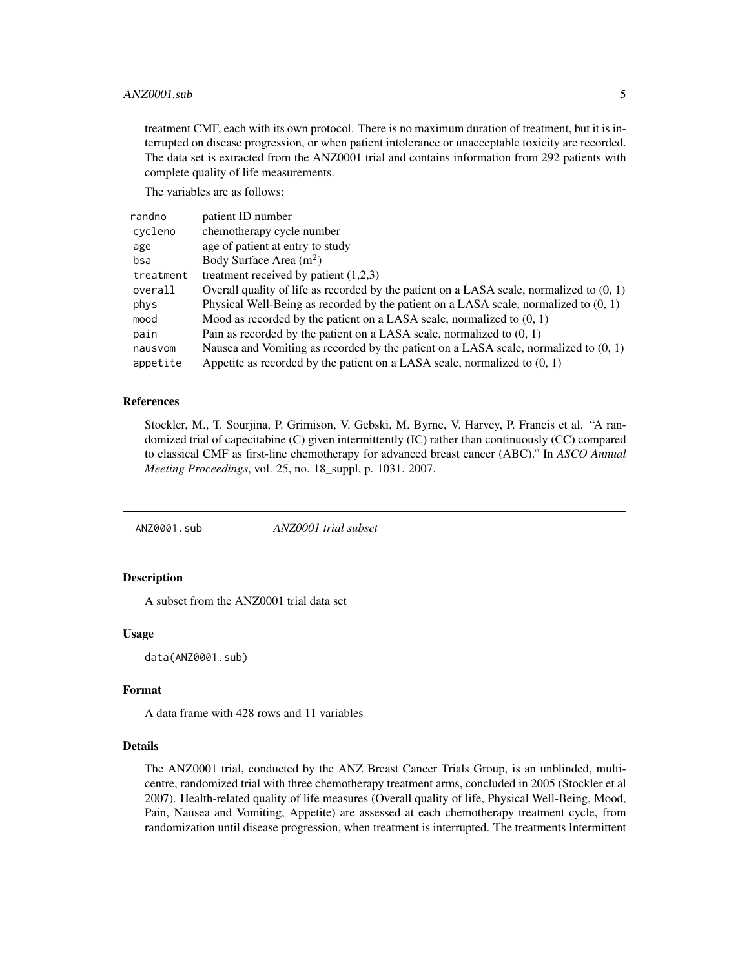# <span id="page-4-0"></span>ANZ0001.sub 5

treatment CMF, each with its own protocol. There is no maximum duration of treatment, but it is interrupted on disease progression, or when patient intolerance or unacceptable toxicity are recorded. The data set is extracted from the ANZ0001 trial and contains information from 292 patients with complete quality of life measurements.

The variables are as follows:

| randno    | patient ID number                                                                          |
|-----------|--------------------------------------------------------------------------------------------|
| cycleno   | chemotherapy cycle number                                                                  |
| age       | age of patient at entry to study                                                           |
| bsa       | Body Surface Area $(m2)$                                                                   |
| treatment | treatment received by patient $(1,2,3)$                                                    |
| overall   | Overall quality of life as recorded by the patient on a LASA scale, normalized to $(0, 1)$ |
| phys      | Physical Well-Being as recorded by the patient on a LASA scale, normalized to $(0, 1)$     |
| mood      | Mood as recorded by the patient on a LASA scale, normalized to $(0, 1)$                    |
| pain      | Pain as recorded by the patient on a LASA scale, normalized to $(0, 1)$                    |
| nausvom   | Nausea and Vomiting as recorded by the patient on a LASA scale, normalized to $(0, 1)$     |
| appetite  | Appetite as recorded by the patient on a LASA scale, normalized to $(0, 1)$                |

#### References

Stockler, M., T. Sourjina, P. Grimison, V. Gebski, M. Byrne, V. Harvey, P. Francis et al. "A randomized trial of capecitabine (C) given intermittently (IC) rather than continuously (CC) compared to classical CMF as first-line chemotherapy for advanced breast cancer (ABC)." In *ASCO Annual Meeting Proceedings*, vol. 25, no. 18\_suppl, p. 1031. 2007.

ANZ0001.sub *ANZ0001 trial subset*

# **Description**

A subset from the ANZ0001 trial data set

#### Usage

data(ANZ0001.sub)

#### Format

A data frame with 428 rows and 11 variables

# Details

The ANZ0001 trial, conducted by the ANZ Breast Cancer Trials Group, is an unblinded, multicentre, randomized trial with three chemotherapy treatment arms, concluded in 2005 (Stockler et al 2007). Health-related quality of life measures (Overall quality of life, Physical Well-Being, Mood, Pain, Nausea and Vomiting, Appetite) are assessed at each chemotherapy treatment cycle, from randomization until disease progression, when treatment is interrupted. The treatments Intermittent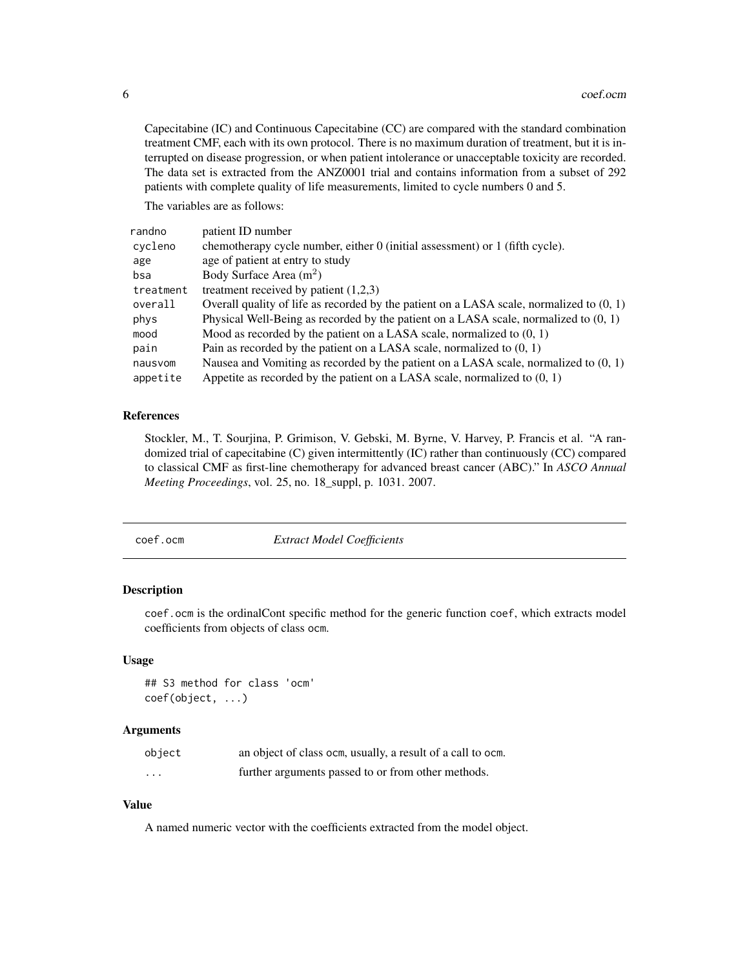<span id="page-5-0"></span>Capecitabine (IC) and Continuous Capecitabine (CC) are compared with the standard combination treatment CMF, each with its own protocol. There is no maximum duration of treatment, but it is interrupted on disease progression, or when patient intolerance or unacceptable toxicity are recorded. The data set is extracted from the ANZ0001 trial and contains information from a subset of 292 patients with complete quality of life measurements, limited to cycle numbers 0 and 5.

The variables are as follows:

| randno    | patient ID number                                                                          |
|-----------|--------------------------------------------------------------------------------------------|
| cycleno   | chemotherapy cycle number, either 0 (initial assessment) or 1 (fifth cycle).               |
| age       | age of patient at entry to study                                                           |
| bsa       | Body Surface Area $(m2)$                                                                   |
| treatment | treatment received by patient $(1,2,3)$                                                    |
| overall   | Overall quality of life as recorded by the patient on a LASA scale, normalized to $(0, 1)$ |
| phys      | Physical Well-Being as recorded by the patient on a LASA scale, normalized to $(0, 1)$     |
| mood      | Mood as recorded by the patient on a LASA scale, normalized to $(0, 1)$                    |
| pain      | Pain as recorded by the patient on a LASA scale, normalized to $(0, 1)$                    |
| nausvom   | Nausea and Vomiting as recorded by the patient on a LASA scale, normalized to $(0, 1)$     |
| appetite  | Appetite as recorded by the patient on a LASA scale, normalized to $(0, 1)$                |

#### References

Stockler, M., T. Sourjina, P. Grimison, V. Gebski, M. Byrne, V. Harvey, P. Francis et al. "A randomized trial of capecitabine (C) given intermittently (IC) rather than continuously (CC) compared to classical CMF as first-line chemotherapy for advanced breast cancer (ABC)." In *ASCO Annual Meeting Proceedings*, vol. 25, no. 18\_suppl, p. 1031. 2007.

coef.ocm *Extract Model Coefficients*

#### Description

coef.ocm is the ordinalCont specific method for the generic function coef, which extracts model coefficients from objects of class ocm.

#### Usage

```
## S3 method for class 'ocm'
coef(object, ...)
```
# Arguments

| object   | an object of class ocm, usually, a result of a call to ocm. |
|----------|-------------------------------------------------------------|
| $\cdots$ | further arguments passed to or from other methods.          |

## Value

A named numeric vector with the coefficients extracted from the model object.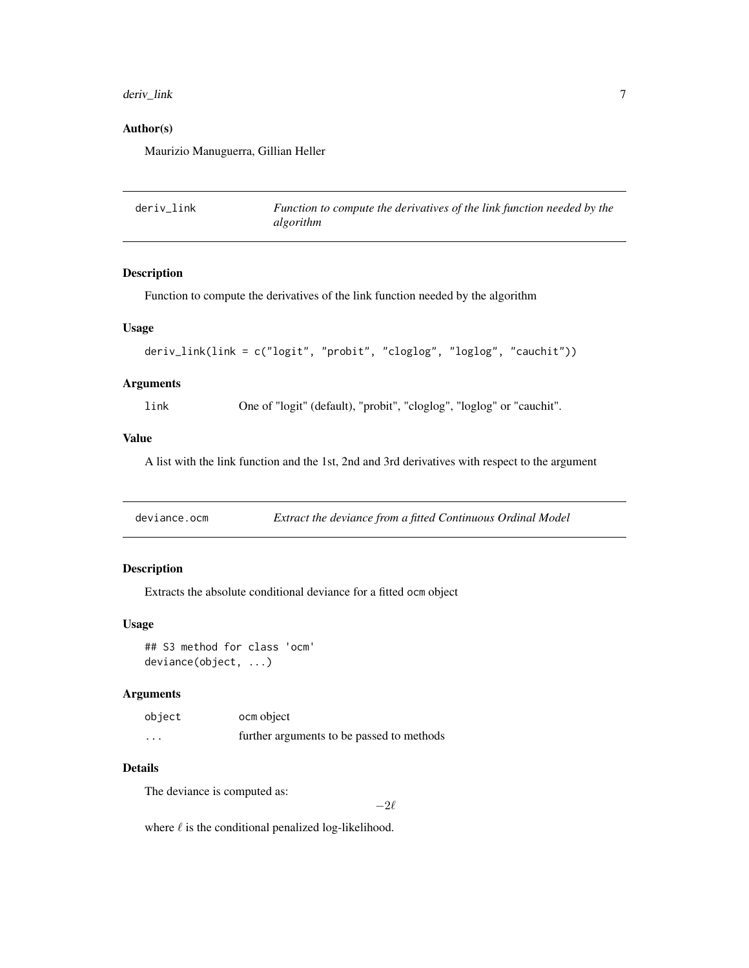# <span id="page-6-0"></span>deriv\_link 7

# Author(s)

Maurizio Manuguerra, Gillian Heller

| deriv link | Function to compute the derivatives of the link function needed by the |
|------------|------------------------------------------------------------------------|
|            | algorithm                                                              |

# Description

Function to compute the derivatives of the link function needed by the algorithm

# Usage

```
deriv_link(link = c("logit", "probit", "cloglog", "loglog", "cauchit"))
```
# Arguments

link One of "logit" (default), "probit", "cloglog", "loglog" or "cauchit".

#### Value

A list with the link function and the 1st, 2nd and 3rd derivatives with respect to the argument

| deviance.ocm |  |  | Extract the deviance from a fitted Continuous Ordinal Model |
|--------------|--|--|-------------------------------------------------------------|
|              |  |  |                                                             |

# Description

Extracts the absolute conditional deviance for a fitted ocm object

## Usage

## S3 method for class 'ocm' deviance(object, ...)

#### Arguments

| object   | ocm object                                |
|----------|-------------------------------------------|
| $\cdots$ | further arguments to be passed to methods |

#### Details

The deviance is computed as:

 $-2\ell$ 

where  $\ell$  is the conditional penalized log-likelihood.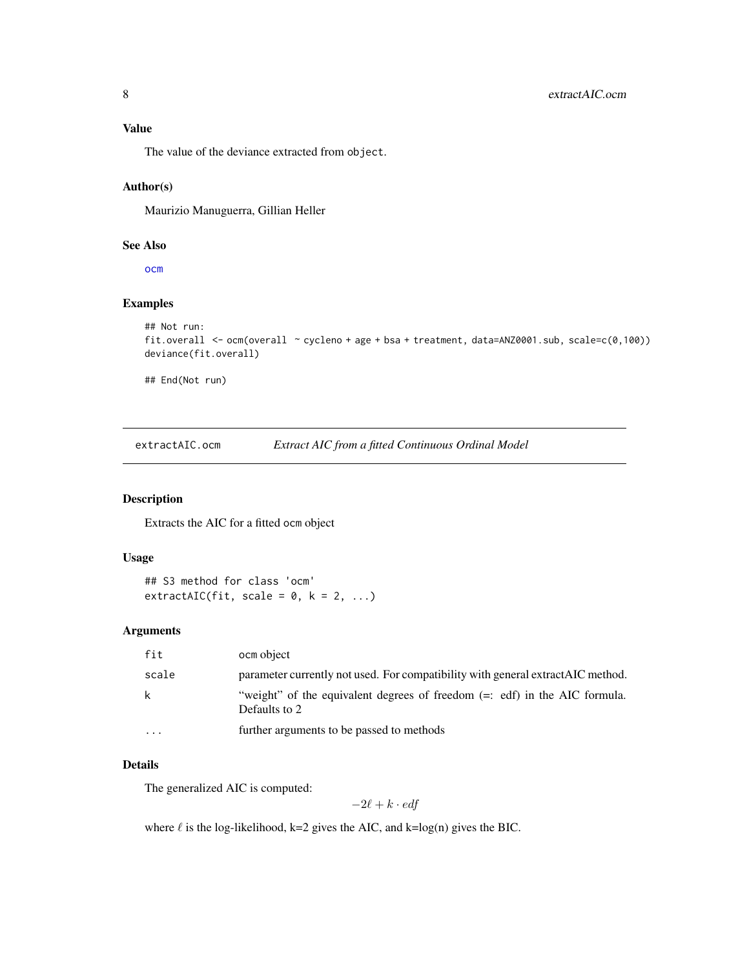# <span id="page-7-0"></span>Value

The value of the deviance extracted from object.

#### Author(s)

Maurizio Manuguerra, Gillian Heller

#### See Also

[ocm](#page-15-1)

# Examples

```
## Not run:
fit.overall <- ocm(overall ~ cycleno + age + bsa + treatment, data=ANZ0001.sub, scale=c(0,100))
deviance(fit.overall)
## End(Not run)
```
extractAIC.ocm *Extract AIC from a fitted Continuous Ordinal Model*

#### Description

Extracts the AIC for a fitted ocm object

# Usage

## S3 method for class 'ocm'  $extractAIC(fit, scale = 0, k = 2, ...)$ 

#### Arguments

| fit      | ocm object                                                                                    |
|----------|-----------------------------------------------------------------------------------------------|
| scale    | parameter currently not used. For compatibility with general extract AIC method.              |
| k        | "weight" of the equivalent degrees of freedom $(=:$ edf) in the AIC formula.<br>Defaults to 2 |
| $\cdots$ | further arguments to be passed to methods                                                     |
|          |                                                                                               |

# Details

The generalized AIC is computed:

$$
-2\ell + k \cdot \textit{edf}
$$

where  $\ell$  is the log-likelihood, k=2 gives the AIC, and k=log(n) gives the BIC.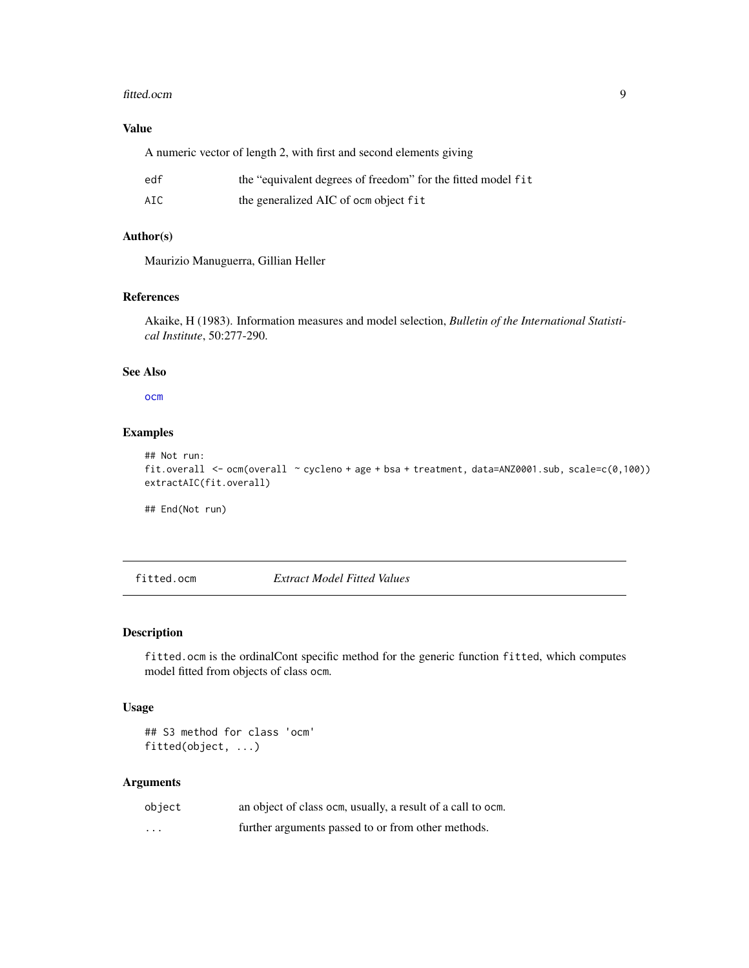#### <span id="page-8-0"></span>fitted.ocm 9

# Value

A numeric vector of length 2, with first and second elements giving

| edf | the "equivalent degrees of freedom" for the fitted model fit |
|-----|--------------------------------------------------------------|
| AIC | the generalized AIC of ocm object fit                        |

# Author(s)

Maurizio Manuguerra, Gillian Heller

# References

Akaike, H (1983). Information measures and model selection, *Bulletin of the International Statistical Institute*, 50:277-290.

# See Also

#### [ocm](#page-15-1)

#### Examples

```
## Not run:
fit.overall <- ocm(overall ~ cycleno + age + bsa + treatment, data=ANZ0001.sub, scale=c(0,100))
extractAIC(fit.overall)
```
## End(Not run)

## fitted.ocm *Extract Model Fitted Values*

# Description

fitted.ocm is the ordinalCont specific method for the generic function fitted, which computes model fitted from objects of class ocm.

# Usage

```
## S3 method for class 'ocm'
fitted(object, ...)
```
#### Arguments

| object            | an object of class ocm, usually, a result of a call to ocm. |
|-------------------|-------------------------------------------------------------|
| $\cdot\cdot\cdot$ | further arguments passed to or from other methods.          |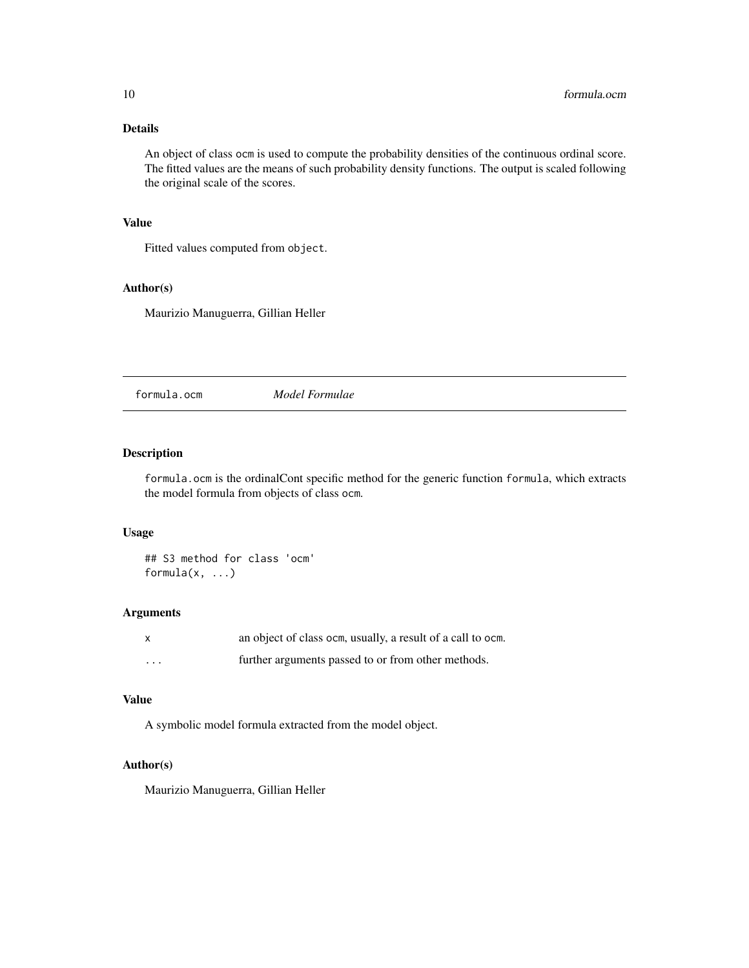# <span id="page-9-0"></span>Details

An object of class ocm is used to compute the probability densities of the continuous ordinal score. The fitted values are the means of such probability density functions. The output is scaled following the original scale of the scores.

# Value

Fitted values computed from object.

#### Author(s)

Maurizio Manuguerra, Gillian Heller

formula.ocm *Model Formulae*

# Description

formula.ocm is the ordinalCont specific method for the generic function formula, which extracts the model formula from objects of class ocm.

## Usage

## S3 method for class 'ocm' formula $(x, \ldots)$ 

# Arguments

| X                       | an object of class ocm, usually, a result of a call to ocm. |
|-------------------------|-------------------------------------------------------------|
| $\cdot$ $\cdot$ $\cdot$ | further arguments passed to or from other methods.          |

# Value

A symbolic model formula extracted from the model object.

# Author(s)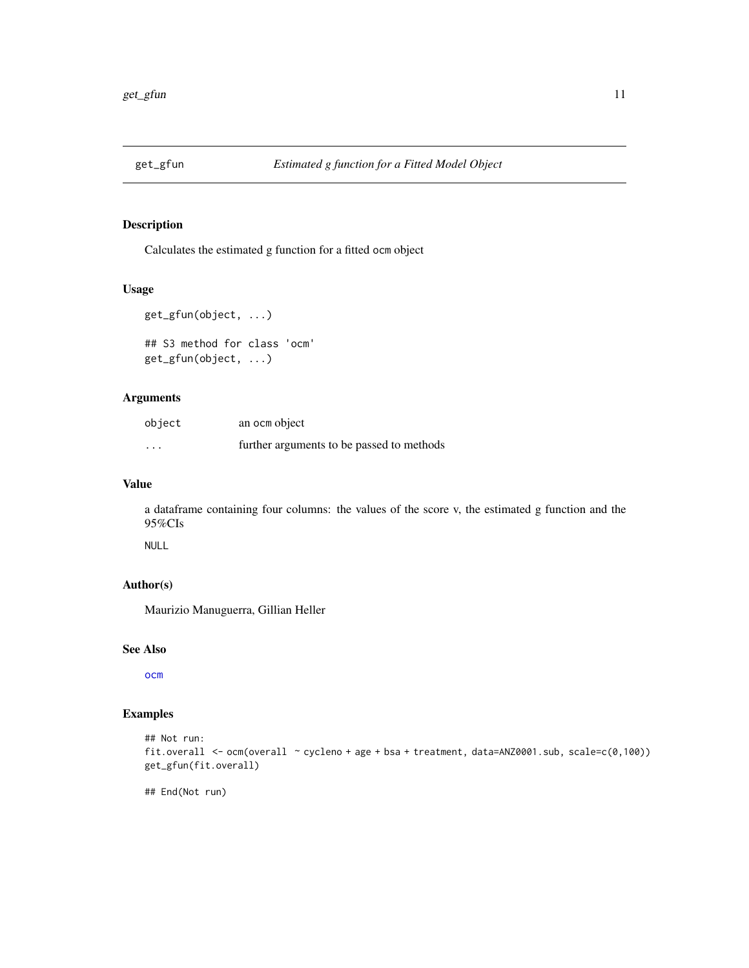<span id="page-10-0"></span>

Calculates the estimated g function for a fitted ocm object

# Usage

```
get_gfun(object, ...)
## S3 method for class 'ocm'
get_gfun(object, ...)
```
# Arguments

| object  | an ocm object                             |
|---------|-------------------------------------------|
| $\cdot$ | further arguments to be passed to methods |

# Value

a dataframe containing four columns: the values of the score v, the estimated g function and the 95%CIs

NULL

# Author(s)

Maurizio Manuguerra, Gillian Heller

#### See Also

[ocm](#page-15-1)

# Examples

```
## Not run:
fit.overall <- ocm(overall ~ cycleno + age + bsa + treatment, data=ANZ0001.sub, scale=c(0,100))
get_gfun(fit.overall)
```
## End(Not run)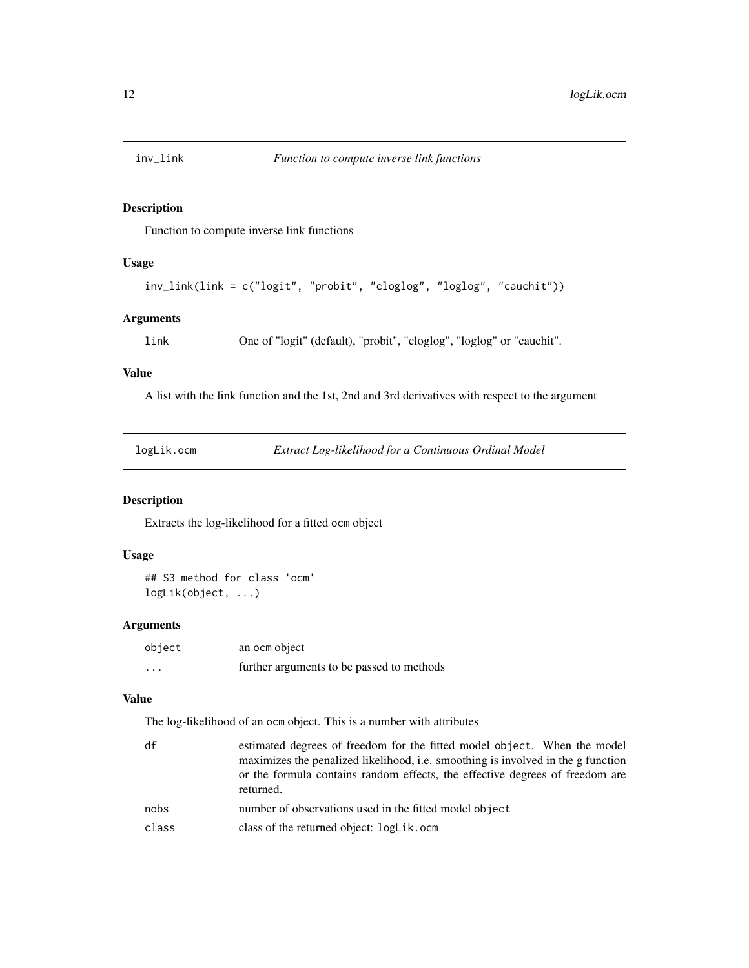<span id="page-11-0"></span>

Function to compute inverse link functions

# Usage

```
inv_link(link = c("logit", "probit", "cloglog", "loglog", "cauchit"))
```
# Arguments

link One of "logit" (default), "probit", "cloglog", "loglog" or "cauchit".

# Value

A list with the link function and the 1st, 2nd and 3rd derivatives with respect to the argument

| 10gL1K.OCM |  |  |
|------------|--|--|
|------------|--|--|

logLik.ocm *Extract Log-likelihood for a Continuous Ordinal Model*

#### Description

Extracts the log-likelihood for a fitted ocm object

#### Usage

## S3 method for class 'ocm' logLik(object, ...)

#### Arguments

| object   | an ocm object                             |
|----------|-------------------------------------------|
| $\cdots$ | further arguments to be passed to methods |

# Value

The log-likelihood of an ocm object. This is a number with attributes

| df    | estimated degrees of freedom for the fitted model object. When the model                  |
|-------|-------------------------------------------------------------------------------------------|
|       | maximizes the penalized likelihood, i.e. smoothing is involved in the g function          |
|       | or the formula contains random effects, the effective degrees of freedom are<br>returned. |
| nobs  | number of observations used in the fitted model object                                    |
| class | class of the returned object: logLik.ocm                                                  |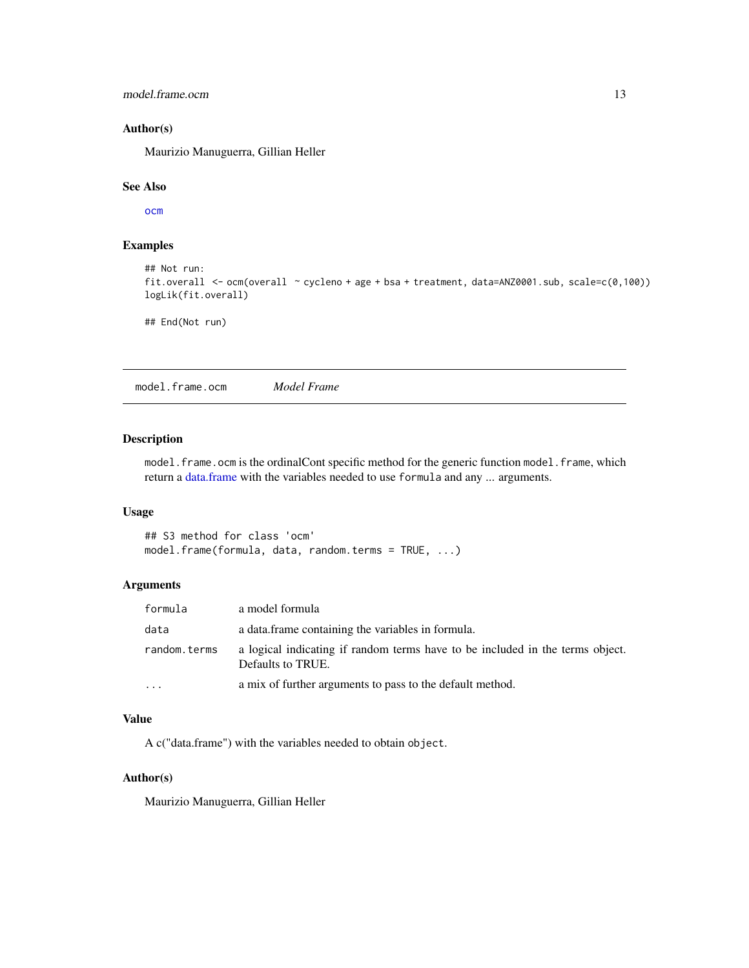<span id="page-12-0"></span>model.frame.ocm 13

# Author(s)

Maurizio Manuguerra, Gillian Heller

#### See Also

[ocm](#page-15-1)

#### Examples

```
## Not run:
fit.overall <- ocm(overall ~ cycleno + age + bsa + treatment, data=ANZ0001.sub, scale=c(0,100))
logLik(fit.overall)
```
## End(Not run)

model.frame.ocm *Model Frame*

#### Description

model.frame.ocm is the ordinalCont specific method for the generic function model.frame, which return a [data.frame](#page-0-0) with the variables needed to use formula and any ... arguments.

#### Usage

```
## S3 method for class 'ocm'
model.frame(formula, data, random.terms = TRUE, ...)
```
# Arguments

| formula      | a model formula                                                                                    |
|--------------|----------------------------------------------------------------------------------------------------|
| data         | a data frame containing the variables in formula.                                                  |
| random.terms | a logical indicating if random terms have to be included in the terms object.<br>Defaults to TRUE. |
| $\cdots$     | a mix of further arguments to pass to the default method.                                          |

# Value

A c("data.frame") with the variables needed to obtain object.

#### Author(s)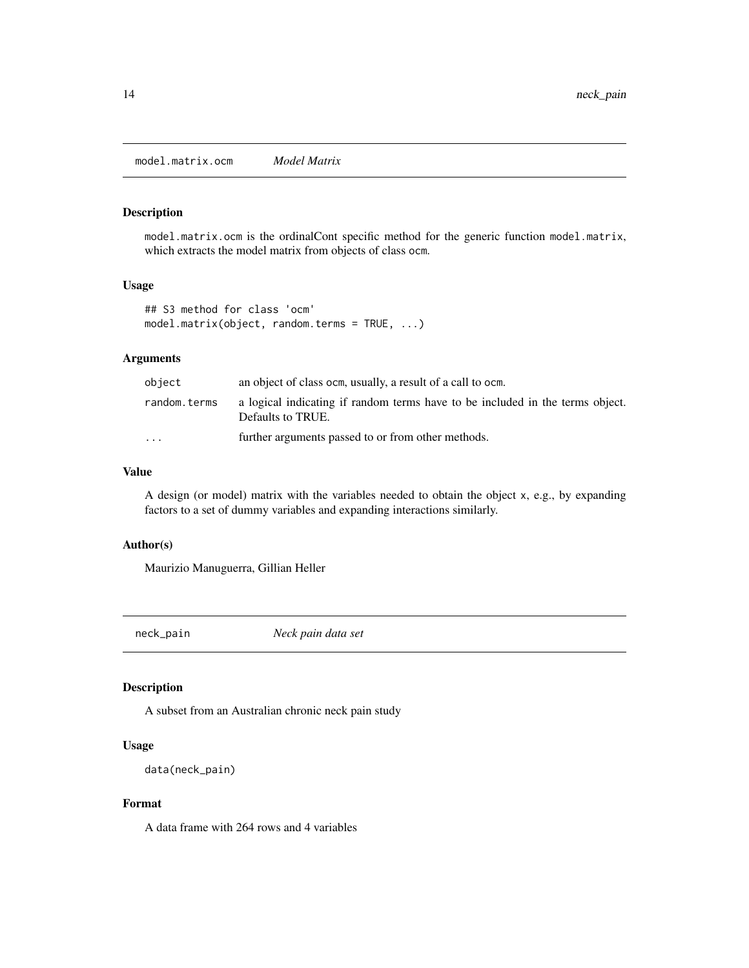<span id="page-13-0"></span>model.matrix.ocm *Model Matrix*

#### Description

model.matrix.ocm is the ordinalCont specific method for the generic function model.matrix, which extracts the model matrix from objects of class ocm.

#### Usage

```
## S3 method for class 'ocm'
model.matrix(object, random.terms = TRUE, ...)
```
# Arguments

| object                  | an object of class ocm, usually, a result of a call to ocm.                                        |
|-------------------------|----------------------------------------------------------------------------------------------------|
| random.terms            | a logical indicating if random terms have to be included in the terms object.<br>Defaults to TRUE. |
| $\cdot$ $\cdot$ $\cdot$ | further arguments passed to or from other methods.                                                 |

# Value

A design (or model) matrix with the variables needed to obtain the object x, e.g., by expanding factors to a set of dummy variables and expanding interactions similarly.

#### Author(s)

Maurizio Manuguerra, Gillian Heller

neck\_pain *Neck pain data set*

# Description

A subset from an Australian chronic neck pain study

# Usage

```
data(neck_pain)
```
#### Format

A data frame with 264 rows and 4 variables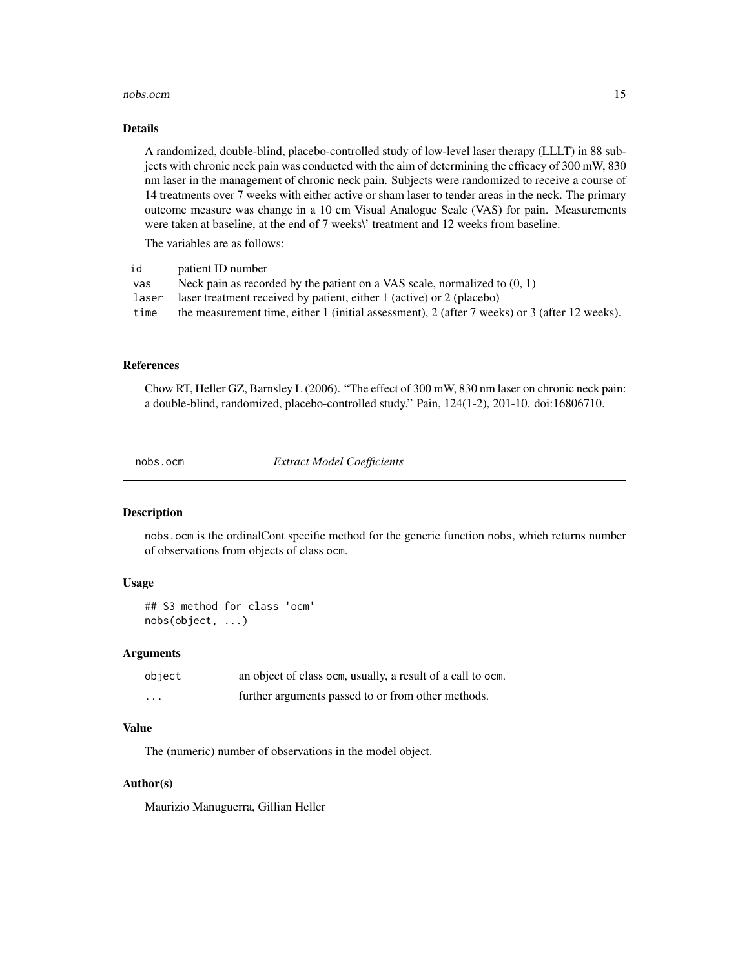#### <span id="page-14-0"></span>nobs.ocm and 15

#### Details

A randomized, double-blind, placebo-controlled study of low-level laser therapy (LLLT) in 88 subjects with chronic neck pain was conducted with the aim of determining the efficacy of 300 mW, 830 nm laser in the management of chronic neck pain. Subjects were randomized to receive a course of 14 treatments over 7 weeks with either active or sham laser to tender areas in the neck. The primary outcome measure was change in a 10 cm Visual Analogue Scale (VAS) for pain. Measurements were taken at baseline, at the end of 7 weeks\' treatment and 12 weeks from baseline.

The variables are as follows:

| id    | patient ID number                                                                             |
|-------|-----------------------------------------------------------------------------------------------|
| vas   | Neck pain as recorded by the patient on a VAS scale, normalized to $(0, 1)$                   |
| laser | laser treatment received by patient, either 1 (active) or 2 (placebo)                         |
| time  | the measurement time, either 1 (initial assessment), 2 (after 7 weeks) or 3 (after 12 weeks). |
|       |                                                                                               |

#### References

Chow RT, Heller GZ, Barnsley L (2006). "The effect of 300 mW, 830 nm laser on chronic neck pain: a double-blind, randomized, placebo-controlled study." Pain, 124(1-2), 201-10. doi:16806710.

nobs.ocm *Extract Model Coefficients*

#### Description

nobs.ocm is the ordinalCont specific method for the generic function nobs, which returns number of observations from objects of class ocm.

#### Usage

## S3 method for class 'ocm' nobs(object, ...)

#### Arguments

| object   | an object of class ocm, usually, a result of a call to ocm. |
|----------|-------------------------------------------------------------|
| $\cdots$ | further arguments passed to or from other methods.          |

#### Value

The (numeric) number of observations in the model object.

#### Author(s)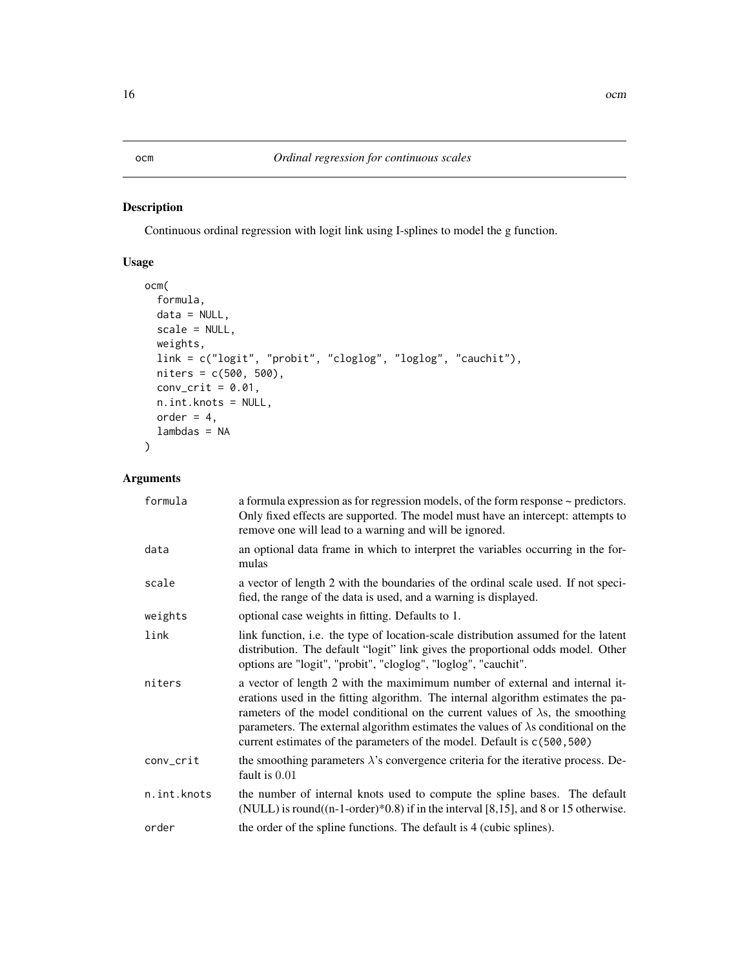<span id="page-15-1"></span><span id="page-15-0"></span>Continuous ordinal regression with logit link using I-splines to model the g function.

# Usage

```
ocm(
  formula,
 data = NULL,scale = NULL,
 weights,
 link = c("logit", "probit", "cloglog", "loglog", "cauchit"),
 nitters = c(500, 500),conv_crit = 0.01,
 n.int.knots = NULL,
 order = 4,
  lambdas = NA
\mathcal{E}
```
# Arguments

| formula     | a formula expression as for regression models, of the form response $\sim$ predictors.<br>Only fixed effects are supported. The model must have an intercept: attempts to<br>remove one will lead to a warning and will be ignored.                                                                                                                                                                                              |
|-------------|----------------------------------------------------------------------------------------------------------------------------------------------------------------------------------------------------------------------------------------------------------------------------------------------------------------------------------------------------------------------------------------------------------------------------------|
| data        | an optional data frame in which to interpret the variables occurring in the for-<br>mulas                                                                                                                                                                                                                                                                                                                                        |
| scale       | a vector of length 2 with the boundaries of the ordinal scale used. If not speci-<br>fied, the range of the data is used, and a warning is displayed.                                                                                                                                                                                                                                                                            |
| weights     | optional case weights in fitting. Defaults to 1.                                                                                                                                                                                                                                                                                                                                                                                 |
| link        | link function, <i>i.e.</i> the type of location-scale distribution assumed for the latent<br>distribution. The default "logit" link gives the proportional odds model. Other<br>options are "logit", "probit", "cloglog", "loglog", "cauchit".                                                                                                                                                                                   |
| niters      | a vector of length 2 with the maximimum number of external and internal it-<br>erations used in the fitting algorithm. The internal algorithm estimates the pa-<br>rameters of the model conditional on the current values of $\lambda$ s, the smoothing<br>parameters. The external algorithm estimates the values of $\lambda$ s conditional on the<br>current estimates of the parameters of the model. Default is c(500,500) |
| conv_crit   | the smoothing parameters $\lambda$ 's convergence criteria for the iterative process. De-<br>fault is $0.01$                                                                                                                                                                                                                                                                                                                     |
| n.int.knots | the number of internal knots used to compute the spline bases. The default<br>(NULL) is round( $(n-1$ -order) $*0.8$ ) if in the interval [8,15], and 8 or 15 otherwise.                                                                                                                                                                                                                                                         |
| order       | the order of the spline functions. The default is 4 (cubic splines).                                                                                                                                                                                                                                                                                                                                                             |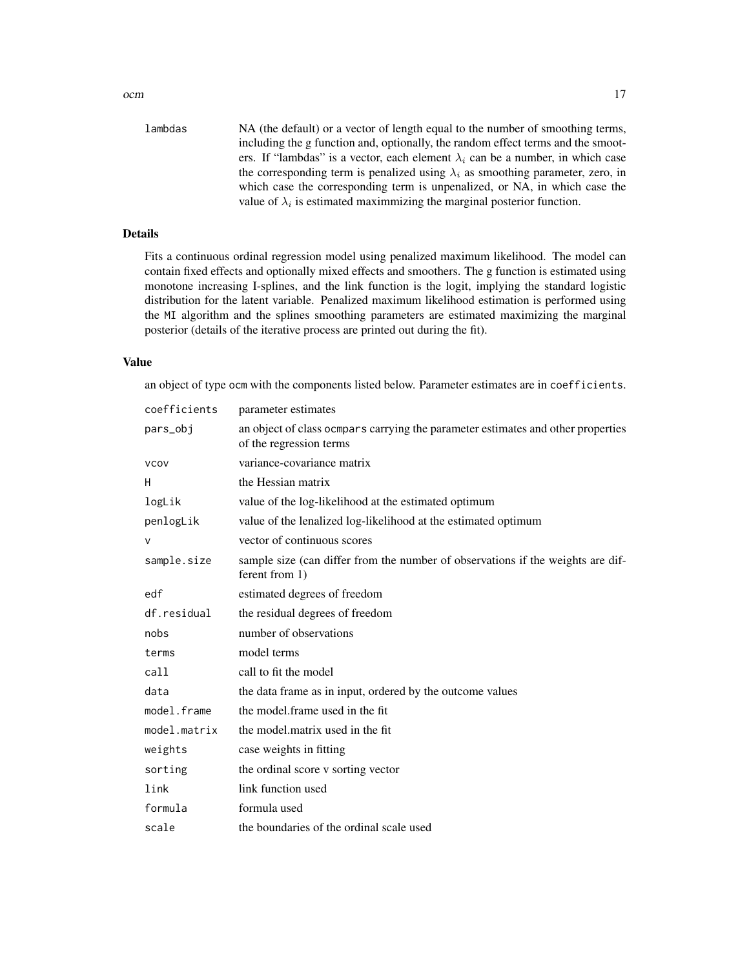ocm and the contract of the contract of the contract of the contract of the contract of the contract of the contract of the contract of the contract of the contract of the contract of the contract of the contract of the co

value of  $\lambda_i$  is estimated maximmizing the marginal posterior function.

#### Details

Fits a continuous ordinal regression model using penalized maximum likelihood. The model can contain fixed effects and optionally mixed effects and smoothers. The g function is estimated using monotone increasing I-splines, and the link function is the logit, implying the standard logistic distribution for the latent variable. Penalized maximum likelihood estimation is performed using the MI algorithm and the splines smoothing parameters are estimated maximizing the marginal posterior (details of the iterative process are printed out during the fit).

#### Value

an object of type ocm with the components listed below. Parameter estimates are in coefficients.

| coefficients | parameter estimates                                                                                         |
|--------------|-------------------------------------------------------------------------------------------------------------|
| pars_obj     | an object of class ocmpars carrying the parameter estimates and other properties<br>of the regression terms |
| <b>VCOV</b>  | variance-covariance matrix                                                                                  |
| H            | the Hessian matrix                                                                                          |
| logLik       | value of the log-likelihood at the estimated optimum                                                        |
| penlogLik    | value of the lenalized log-likelihood at the estimated optimum                                              |
| $\vee$       | vector of continuous scores                                                                                 |
| sample.size  | sample size (can differ from the number of observations if the weights are dif-<br>ferent from 1)           |
| edf          | estimated degrees of freedom                                                                                |
| df.residual  | the residual degrees of freedom                                                                             |
| nobs         | number of observations                                                                                      |
| terms        | model terms                                                                                                 |
| call         | call to fit the model                                                                                       |
| data         | the data frame as in input, ordered by the outcome values                                                   |
| model.frame  | the model frame used in the fit                                                                             |
| model.matrix | the model, matrix used in the fit                                                                           |
| weights      | case weights in fitting                                                                                     |
| sorting      | the ordinal score v sorting vector                                                                          |
| link         | link function used                                                                                          |
| formula      | formula used                                                                                                |
| scale        | the boundaries of the ordinal scale used                                                                    |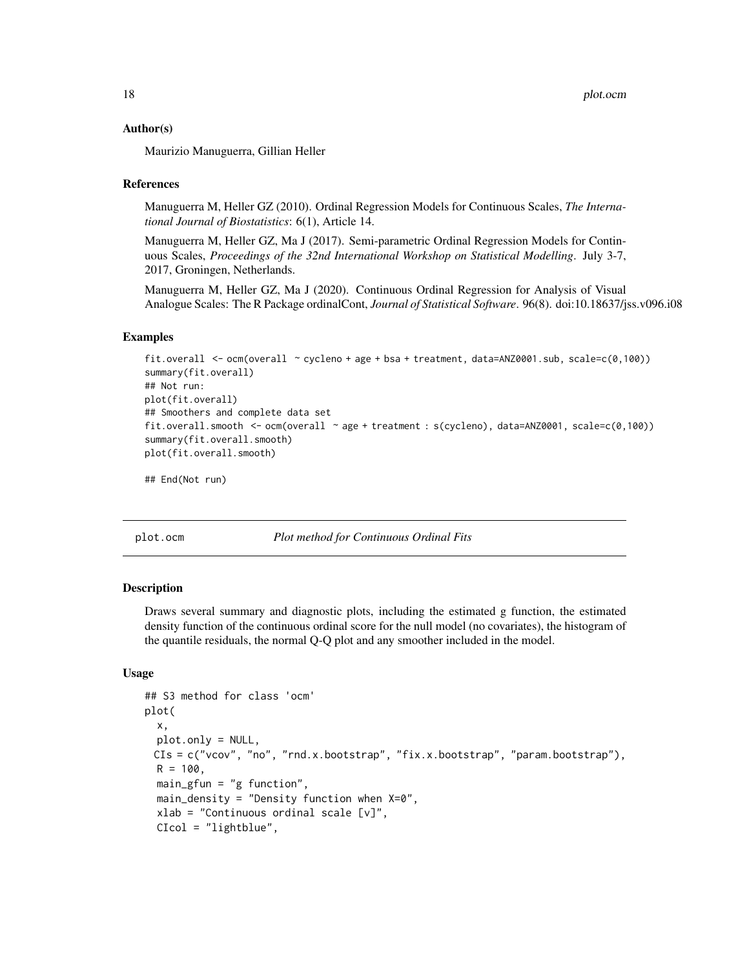#### <span id="page-17-0"></span>Author(s)

Maurizio Manuguerra, Gillian Heller

#### References

Manuguerra M, Heller GZ (2010). Ordinal Regression Models for Continuous Scales, *The International Journal of Biostatistics*: 6(1), Article 14.

Manuguerra M, Heller GZ, Ma J (2017). Semi-parametric Ordinal Regression Models for Continuous Scales, *Proceedings of the 32nd International Workshop on Statistical Modelling*. July 3-7, 2017, Groningen, Netherlands.

Manuguerra M, Heller GZ, Ma J (2020). Continuous Ordinal Regression for Analysis of Visual Analogue Scales: The R Package ordinalCont, *Journal of Statistical Software*. 96(8). doi:10.18637/jss.v096.i08

#### Examples

```
fit.overall <- ocm(overall ~ cycleno + age + bsa + treatment, data=ANZ0001.sub, scale=c(0,100))
summary(fit.overall)
## Not run:
plot(fit.overall)
## Smoothers and complete data set
fit.overall.smooth <- ocm(overall ~ age + treatment : s(cycleno), data=ANZ0001, scale=c(0,100))
summary(fit.overall.smooth)
plot(fit.overall.smooth)
```

```
## End(Not run)
```
plot.ocm *Plot method for Continuous Ordinal Fits*

#### **Description**

Draws several summary and diagnostic plots, including the estimated g function, the estimated density function of the continuous ordinal score for the null model (no covariates), the histogram of the quantile residuals, the normal Q-Q plot and any smoother included in the model.

#### Usage

```
## S3 method for class 'ocm'
plot(
  x,
 plot.only = NULL,
 CIs = c("vcov", "no", "rnd.x.bootstrap", "fix.x.bootstrap", "param.bootstrap"),R = 100.
 main_{\text{g}}fun = "g function",
 main_density = "Density function when X=0",
  xlab = "Continuous ordinal scale [v]",
 CIcol = "lightblue",
```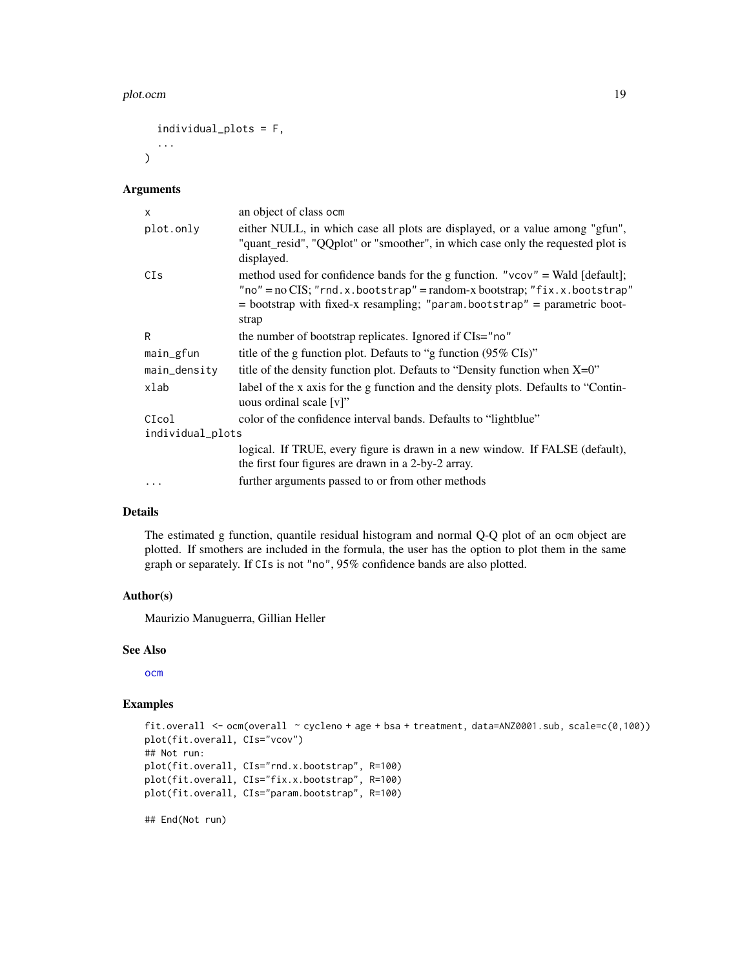#### <span id="page-18-0"></span>plot.ocm and the state of the state of the state of the state of the state of the state of the state of the state of the state of the state of the state of the state of the state of the state of the state of the state of t

```
individual_plots = F,
...
```
#### Arguments

 $\mathcal{L}$ 

| X                | an object of class ocm                                                                                                                                                                                                                                                |  |
|------------------|-----------------------------------------------------------------------------------------------------------------------------------------------------------------------------------------------------------------------------------------------------------------------|--|
| plot.only        | either NULL, in which case all plots are displayed, or a value among "gfun",<br>"quant_resid", "QQplot" or "smoother", in which case only the requested plot is<br>displayed.                                                                                         |  |
| CIs              | method used for confidence bands for the g function. " $\vee$ co $\vee$ " = Wald [default];<br>"no" = $no$ CIS; "rnd.x.bootstrap" = $random-x$ bootstrap; "fix.x.bootstrap"<br>$=$ bootstrap with fixed-x resampling; "param.bootstrap" $=$ parametric boot-<br>strap |  |
| R                | the number of bootstrap replicates. Ignored if CIs="no"                                                                                                                                                                                                               |  |
| main_gfun        | title of the g function plot. Defauts to "g function (95% CIs)"                                                                                                                                                                                                       |  |
| main_density     | title of the density function plot. Defauts to "Density function when $X=0$ "                                                                                                                                                                                         |  |
| xlab             | label of the x axis for the g function and the density plots. Defaults to "Contin-<br>uous ordinal scale $[v]$ "                                                                                                                                                      |  |
| CIcol            | color of the confidence interval bands. Defaults to "lightblue"                                                                                                                                                                                                       |  |
| individual_plots |                                                                                                                                                                                                                                                                       |  |
|                  | logical. If TRUE, every figure is drawn in a new window. If FALSE (default),<br>the first four figures are drawn in a 2-by-2 array.                                                                                                                                   |  |
|                  | further arguments passed to or from other methods                                                                                                                                                                                                                     |  |
|                  |                                                                                                                                                                                                                                                                       |  |

# Details

The estimated g function, quantile residual histogram and normal Q-Q plot of an ocm object are plotted. If smothers are included in the formula, the user has the option to plot them in the same graph or separately. If CIs is not "no", 95% confidence bands are also plotted.

#### Author(s)

Maurizio Manuguerra, Gillian Heller

#### See Also

[ocm](#page-15-1)

#### Examples

```
fit.overall <- ocm(overall ~ cycleno + age + bsa + treatment, data=ANZ0001.sub, scale=c(0,100))
plot(fit.overall, CIs="vcov")
## Not run:
plot(fit.overall, CIs="rnd.x.bootstrap", R=100)
plot(fit.overall, CIs="fix.x.bootstrap", R=100)
plot(fit.overall, CIs="param.bootstrap", R=100)
```
## End(Not run)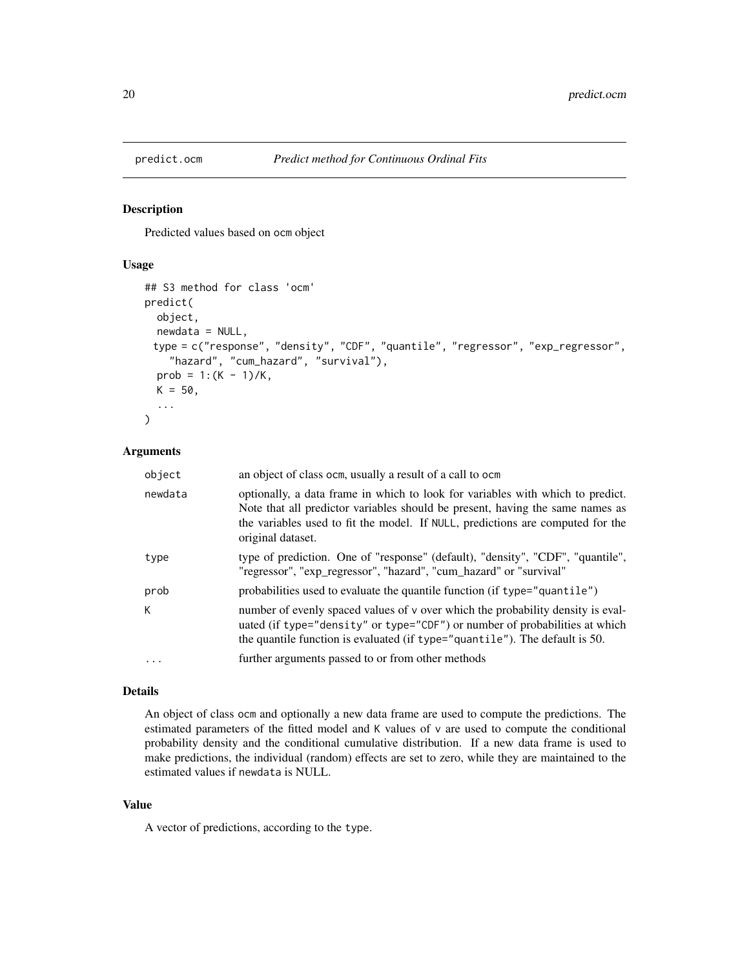<span id="page-19-0"></span>

Predicted values based on ocm object

#### Usage

```
## S3 method for class 'ocm'
predict(
 object,
 newdata = NULL,
 type = c("response", "density", "CDF", "quantile", "regressor", "exp_regressor",
    "hazard", "cum_hazard", "survival"),
  prob = 1:(K - 1)/K,
 K = 50,
  ...
)
```
# Arguments

| object   | an object of class ocm, usually a result of a call to ocm                                                                                                                                                                                                              |
|----------|------------------------------------------------------------------------------------------------------------------------------------------------------------------------------------------------------------------------------------------------------------------------|
| newdata  | optionally, a data frame in which to look for variables with which to predict.<br>Note that all predictor variables should be present, having the same names as<br>the variables used to fit the model. If NULL, predictions are computed for the<br>original dataset. |
| type     | type of prediction. One of "response" (default), "density", "CDF", "quantile",<br>"regressor", "exp_regressor", "hazard", "cum_hazard" or "survival"                                                                                                                   |
| prob     | probabilities used to evaluate the quantile function (if type="quantile")                                                                                                                                                                                              |
| K.       | number of evenly spaced values of v over which the probability density is eval-<br>uated (if type="density" or type="CDF") or number of probabilities at which<br>the quantile function is evaluated (if type="quantile"). The default is 50.                          |
| $\ddots$ | further arguments passed to or from other methods                                                                                                                                                                                                                      |
|          |                                                                                                                                                                                                                                                                        |

#### Details

An object of class ocm and optionally a new data frame are used to compute the predictions. The estimated parameters of the fitted model and K values of v are used to compute the conditional probability density and the conditional cumulative distribution. If a new data frame is used to make predictions, the individual (random) effects are set to zero, while they are maintained to the estimated values if newdata is NULL.

# Value

A vector of predictions, according to the type.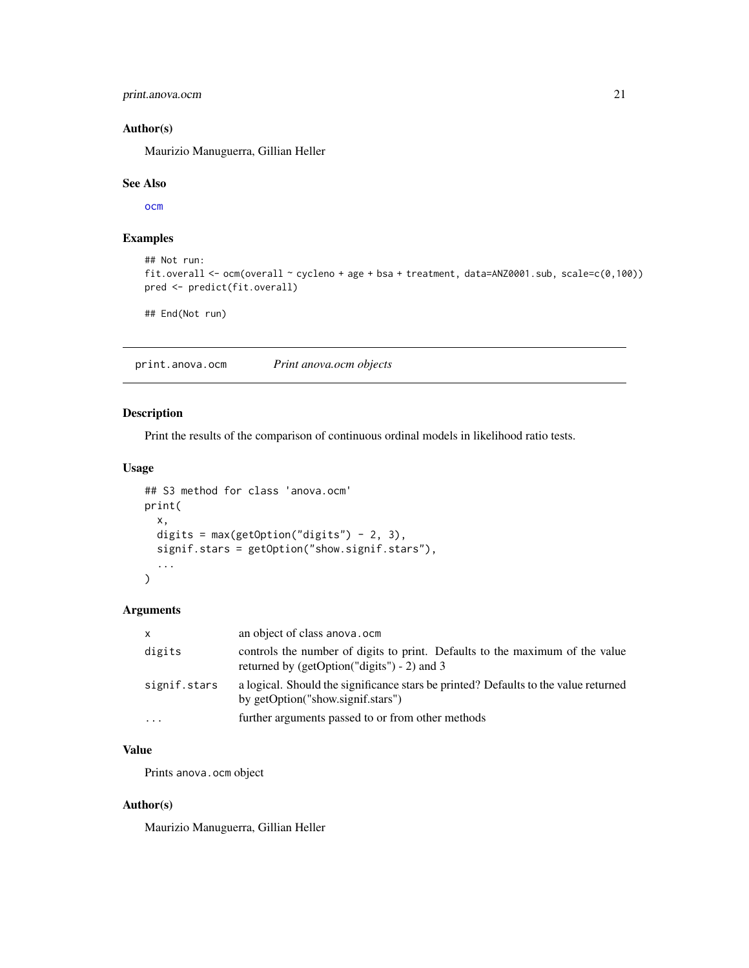# <span id="page-20-0"></span>print.anova.ocm 21

# Author(s)

Maurizio Manuguerra, Gillian Heller

#### See Also

[ocm](#page-15-1)

# Examples

```
## Not run:
fit.overall <- ocm(overall ~ cycleno + age + bsa + treatment, data=ANZ0001.sub, scale=c(0,100))
pred <- predict(fit.overall)
```
## End(Not run)

<span id="page-20-1"></span>print.anova.ocm *Print anova.ocm objects*

# Description

Print the results of the comparison of continuous ordinal models in likelihood ratio tests.

#### Usage

```
## S3 method for class 'anova.ocm'
print(
  x,
  digits = max(getOption("digits") - 2, 3),signif.stars = getOption("show.signif.stars"),
  ...
)
```
#### Arguments

| X            | an object of class anova.ocm                                                                                                   |
|--------------|--------------------------------------------------------------------------------------------------------------------------------|
| digits       | controls the number of digits to print. Defaults to the maximum of the value<br>returned by (getOption("digits") $- 2$ ) and 3 |
| signif.stars | a logical. Should the significance stars be printed? Defaults to the value returned<br>by getOption("show.signif.stars")       |
| $\cdots$     | further arguments passed to or from other methods                                                                              |

# Value

Prints anova.ocm object

### Author(s)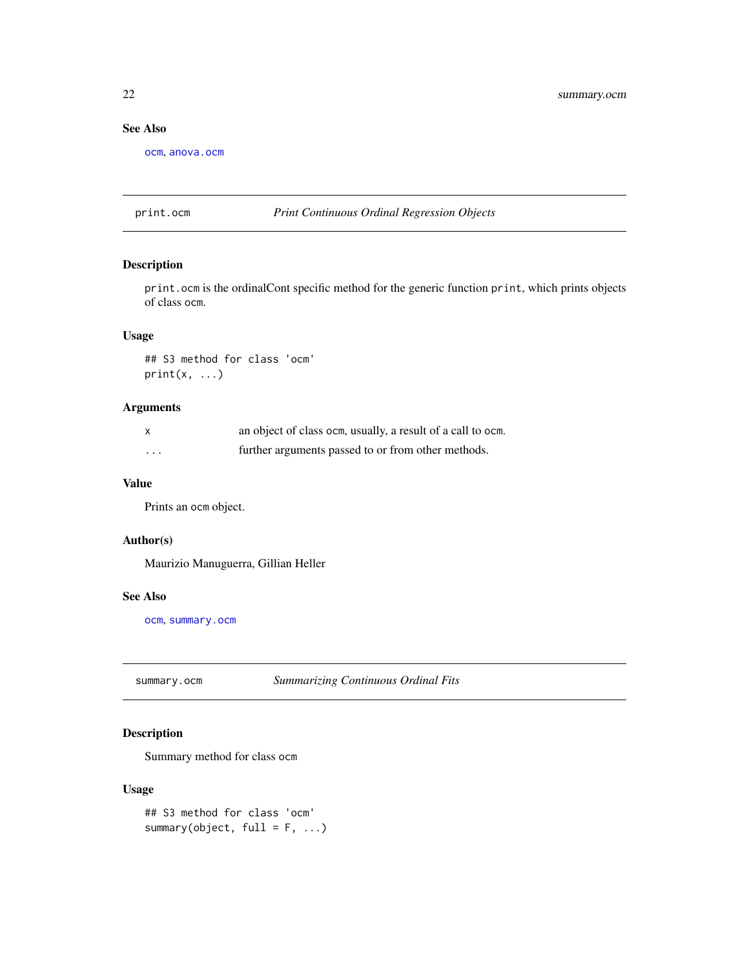# <span id="page-21-0"></span>See Also

[ocm](#page-15-1), [anova.ocm](#page-2-1)

#### <span id="page-21-2"></span>print.ocm *Print Continuous Ordinal Regression Objects*

# Description

print.ocm is the ordinalCont specific method for the generic function print, which prints objects of class ocm.

# Usage

## S3 method for class 'ocm'  $print(x, \ldots)$ 

# Arguments

|          | an object of class ocm, usually, a result of a call to ocm. |
|----------|-------------------------------------------------------------|
| $\cdots$ | further arguments passed to or from other methods.          |

#### Value

Prints an ocm object.

# Author(s)

Maurizio Manuguerra, Gillian Heller

#### See Also

[ocm](#page-15-1), [summary.ocm](#page-21-1)

<span id="page-21-1"></span>summary.ocm *Summarizing Continuous Ordinal Fits*

# Description

Summary method for class ocm

#### Usage

```
## S3 method for class 'ocm'
summary(object, full = F, ...)
```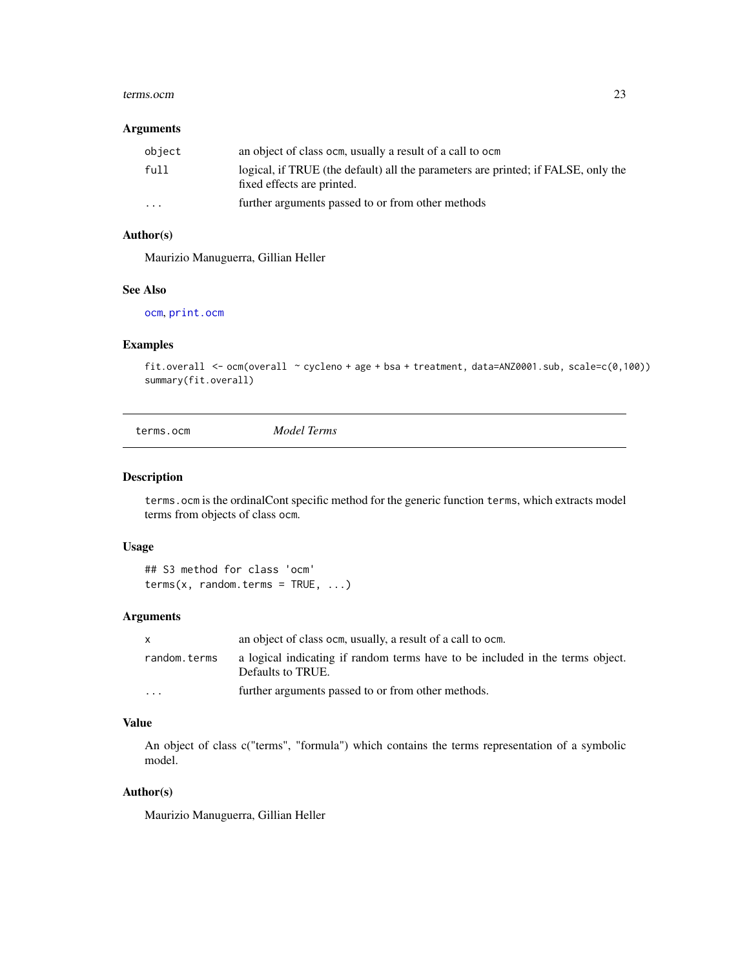#### <span id="page-22-0"></span>terms.ocm 23

#### Arguments

| object   | an object of class ocm, usually a result of a call to ocm                                                       |
|----------|-----------------------------------------------------------------------------------------------------------------|
| full     | logical, if TRUE (the default) all the parameters are printed; if FALSE, only the<br>fixed effects are printed. |
| $\cdots$ | further arguments passed to or from other methods                                                               |

# Author(s)

Maurizio Manuguerra, Gillian Heller

#### See Also

[ocm](#page-15-1), [print.ocm](#page-21-2)

# Examples

```
fit.overall \le ocm(overall \le cycleno + age + bsa + treatment, data=ANZ0001.sub, scale=c(0,100))
summary(fit.overall)
```
terms.ocm *Model Terms*

# Description

terms.ocm is the ordinalCont specific method for the generic function terms, which extracts model terms from objects of class ocm.

#### Usage

## S3 method for class 'ocm'  $terms(x, random.terms = TRUE, ...)$ 

# Arguments

| $\mathsf{x}$ | an object of class ocm, usually, a result of a call to ocm.                                        |
|--------------|----------------------------------------------------------------------------------------------------|
| random.terms | a logical indicating if random terms have to be included in the terms object.<br>Defaults to TRUE. |
| .            | further arguments passed to or from other methods.                                                 |

#### Value

An object of class c("terms", "formula") which contains the terms representation of a symbolic model.

# Author(s)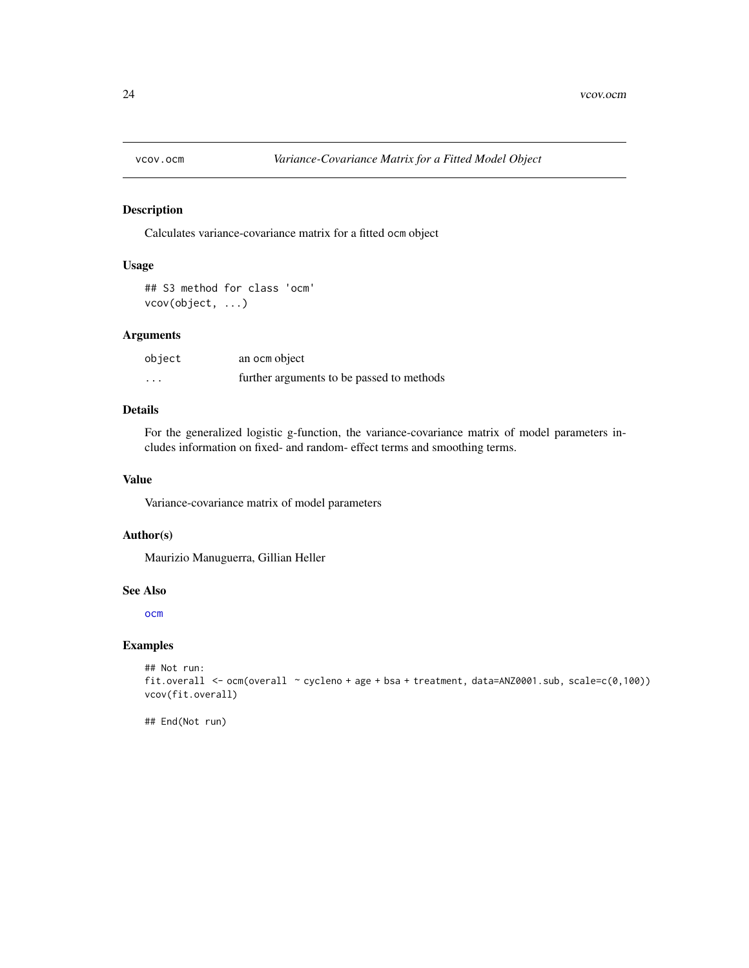<span id="page-23-0"></span>

Calculates variance-covariance matrix for a fitted ocm object

#### Usage

## S3 method for class 'ocm' vcov(object, ...)

# Arguments

| object | an ocm object                             |
|--------|-------------------------------------------|
| .      | further arguments to be passed to methods |

# Details

For the generalized logistic g-function, the variance-covariance matrix of model parameters includes information on fixed- and random- effect terms and smoothing terms.

#### Value

Variance-covariance matrix of model parameters

#### Author(s)

Maurizio Manuguerra, Gillian Heller

#### See Also

[ocm](#page-15-1)

#### Examples

```
## Not run:
fit.overall <- ocm(overall ~ cycleno + age + bsa + treatment, data=ANZ0001.sub, scale=c(0,100))
vcov(fit.overall)
```
## End(Not run)